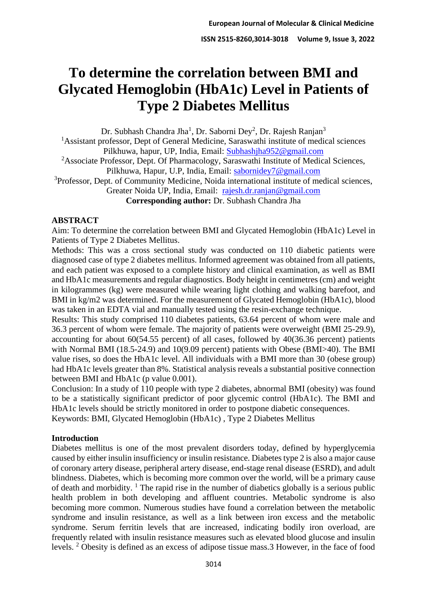# **To determine the correlation between BMI and Glycated Hemoglobin (HbA1c) Level in Patients of Type 2 Diabetes Mellitus**

Dr. Subhash Chandra Jha<sup>1</sup>, Dr. Saborni Dey<sup>2</sup>, Dr. Rajesh Ranjan<sup>3</sup>

<sup>1</sup>Assistant professor, Dept of General Medicine, Saraswathi institute of medical sciences Pilkhuwa, hapur, UP, India, Email: [Subhashjha952@gmail.com](mailto:Subhashjha952@gmail.com)

<sup>2</sup>Associate Professor, Dept. Of Pharmacology, Saraswathi Institute of Medical Sciences, Pilkhuwa, Hapur, U.P. India, Email: [sabornidey7@gmail.com](mailto:sabornidey7@gmail.com)

<sup>3</sup>Professor, Dept. of Community Medicine, Noida international institute of medical sciences, Greater Noida UP, India, Email: [rajesh.dr.ranjan@gmail.com](mailto:rajesh.dr.ranjan@gmail.com)

**Corresponding author:** Dr. Subhash Chandra Jha

## **ABSTRACT**

Aim: To determine the correlation between BMI and Glycated Hemoglobin (HbA1c) Level in Patients of Type 2 Diabetes Mellitus.

Methods: This was a cross sectional study was conducted on 110 diabetic patients were diagnosed case of type 2 diabetes mellitus. Informed agreement was obtained from all patients, and each patient was exposed to a complete history and clinical examination, as well as BMI and HbA1c measurements and regular diagnostics. Body height in centimetres (cm) and weight in kilogrammes (kg) were measured while wearing light clothing and walking barefoot, and BMI in kg/m2 was determined. For the measurement of Glycated Hemoglobin (HbA1c), blood was taken in an EDTA vial and manually tested using the resin-exchange technique.

Results: This study comprised 110 diabetes patients, 63.64 percent of whom were male and 36.3 percent of whom were female. The majority of patients were overweight (BMI 25-29.9), accounting for about 60(54.55 percent) of all cases, followed by 40(36.36 percent) patients with Normal BMI (18.5-24.9) and 10(9.09 percent) patients with Obese (BMI>40). The BMI value rises, so does the HbA1c level. All individuals with a BMI more than 30 (obese group) had HbA1c levels greater than 8%. Statistical analysis reveals a substantial positive connection between BMI and HbA1c (p value 0.001).

Conclusion: In a study of 110 people with type 2 diabetes, abnormal BMI (obesity) was found to be a statistically significant predictor of poor glycemic control (HbA1c). The BMI and HbA1c levels should be strictly monitored in order to postpone diabetic consequences. Keywords: BMI, Glycated Hemoglobin (HbA1c) , Type 2 Diabetes Mellitus

#### **Introduction**

Diabetes mellitus is one of the most prevalent disorders today, defined by hyperglycemia caused by either insulin insufficiency or insulin resistance. Diabetes type 2 is also a major cause of coronary artery disease, peripheral artery disease, end-stage renal disease (ESRD), and adult blindness. Diabetes, which is becoming more common over the world, will be a primary cause of death and morbidity.  $\frac{1}{1}$  The rapid rise in the number of diabetics globally is a serious public health problem in both developing and affluent countries. Metabolic syndrome is also becoming more common. Numerous studies have found a correlation between the metabolic syndrome and insulin resistance, as well as a link between iron excess and the metabolic syndrome. Serum ferritin levels that are increased, indicating bodily iron overload, are frequently related with insulin resistance measures such as elevated blood glucose and insulin levels. <sup>2</sup> Obesity is defined as an excess of adipose tissue mass.3 However, in the face of food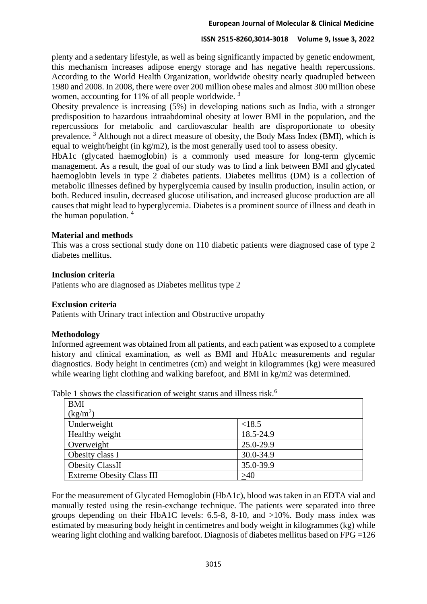plenty and a sedentary lifestyle, as well as being significantly impacted by genetic endowment, this mechanism increases adipose energy storage and has negative health repercussions. According to the World Health Organization, worldwide obesity nearly quadrupled between 1980 and 2008. In 2008, there were over 200 million obese males and almost 300 million obese women, accounting for 11% of all people worldwide.<sup>3</sup>

Obesity prevalence is increasing (5%) in developing nations such as India, with a stronger predisposition to hazardous intraabdominal obesity at lower BMI in the population, and the repercussions for metabolic and cardiovascular health are disproportionate to obesity prevalence. <sup>3</sup> Although not a direct measure of obesity, the Body Mass Index (BMI), which is equal to weight/height (in kg/m2), is the most generally used tool to assess obesity.

HbA1c (glycated haemoglobin) is a commonly used measure for long-term glycemic management. As a result, the goal of our study was to find a link between BMI and glycated haemoglobin levels in type 2 diabetes patients. Diabetes mellitus (DM) is a collection of metabolic illnesses defined by hyperglycemia caused by insulin production, insulin action, or both. Reduced insulin, decreased glucose utilisation, and increased glucose production are all causes that might lead to hyperglycemia. Diabetes is a prominent source of illness and death in the human population.  $4\overline{ }$ 

## **Material and methods**

This was a cross sectional study done on 110 diabetic patients were diagnosed case of type 2 diabetes mellitus.

#### **Inclusion criteria**

Patients who are diagnosed as Diabetes mellitus type 2

### **Exclusion criteria**

Patients with Urinary tract infection and Obstructive uropathy

#### **Methodology**

Informed agreement was obtained from all patients, and each patient was exposed to a complete history and clinical examination, as well as BMI and HbA1c measurements and regular diagnostics. Body height in centimetres (cm) and weight in kilogrammes (kg) were measured while wearing light clothing and walking barefoot, and BMI in kg/m2 was determined.

| <b>BMI</b>                       |           |
|----------------------------------|-----------|
| (kg/m <sup>2</sup> )             |           |
| Underweight                      | < 18.5    |
| Healthy weight                   | 18.5-24.9 |
| Overweight                       | 25.0-29.9 |
| Obesity class I                  | 30.0-34.9 |
| <b>Obesity ClassII</b>           | 35.0-39.9 |
| <b>Extreme Obesity Class III</b> | >40       |

Table 1 shows the classification of weight status and illness risk.<sup>6</sup>

For the measurement of Glycated Hemoglobin (HbA1c), blood was taken in an EDTA vial and manually tested using the resin-exchange technique. The patients were separated into three groups depending on their HbA1C levels: 6.5-8, 8-10, and >10%. Body mass index was estimated by measuring body height in centimetres and body weight in kilogrammes (kg) while wearing light clothing and walking barefoot. Diagnosis of diabetes mellitus based on FPG =126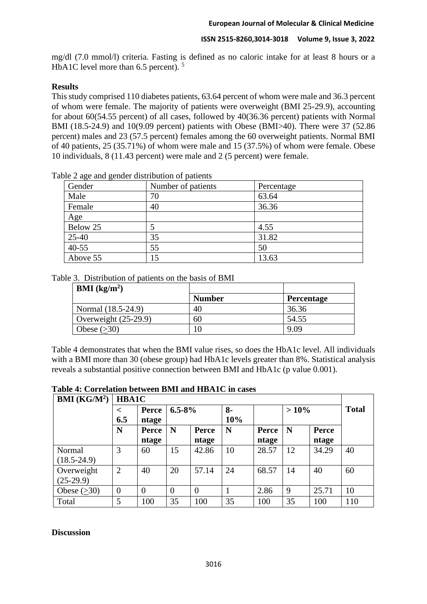mg/dl (7.0 mmol/l) criteria. Fasting is defined as no caloric intake for at least 8 hours or a HbA1C level more than 6.5 percent). <sup>5</sup>

## **Results**

This study comprised 110 diabetes patients, 63.64 percent of whom were male and 36.3 percent of whom were female. The majority of patients were overweight (BMI 25-29.9), accounting for about 60(54.55 percent) of all cases, followed by 40(36.36 percent) patients with Normal BMI (18.5-24.9) and 10(9.09 percent) patients with Obese (BMI>40). There were 37 (52.86 percent) males and 23 (57.5 percent) females among the 60 overweight patients. Normal BMI of 40 patients, 25 (35.71%) of whom were male and 15 (37.5%) of whom were female. Obese 10 individuals, 8 (11.43 percent) were male and 2 (5 percent) were female.

| Gender    | Number of patients | Percentage |
|-----------|--------------------|------------|
| Male      | 70                 | 63.64      |
| Female    | 40                 | 36.36      |
| Age       |                    |            |
| Below 25  |                    | 4.55       |
| 25-40     | 35                 | 31.82      |
| $40 - 55$ | 55                 | 50         |
| Above 55  | 15                 | 13.63      |

Table 2 age and gender distribution of patients

#### Table 3. Distribution of patients on the basis of BMI

| <b>BMI</b> ( $kg/m2$ ) |               |                   |
|------------------------|---------------|-------------------|
|                        | <b>Number</b> | <b>Percentage</b> |
| Normal (18.5-24.9)     | 40            | 36.36             |
| Overweight $(25-29.9)$ | 60            | 54.55             |
| Obese $(>30)$          | 10            | 9.09              |

Table 4 demonstrates that when the BMI value rises, so does the HbA1c level. All individuals with a BMI more than 30 (obese group) had HbA1c levels greater than 8%. Statistical analysis reveals a substantial positive connection between BMI and HbA1c (p value 0.001).

#### **Table 4: Correlation between BMI and HBA1C in cases**

| <b>BMI</b> ( $KG/M^2$ ) | <b>HBA1C</b>   |              |                |                |      |       |         |       |              |
|-------------------------|----------------|--------------|----------------|----------------|------|-------|---------|-------|--------------|
|                         | $\,<\,$        | Perce        | $6.5 - 8\%$    |                | $8-$ |       | $>10\%$ |       | <b>Total</b> |
|                         | 6.5            | ntage        |                |                | 10%  |       |         |       |              |
|                         | N              | <b>Perce</b> | N              | Perce          | N    | Perce | N       | Perce |              |
|                         |                | ntage        |                | ntage          |      | ntage |         | ntage |              |
| Normal                  | 3              | 60           | 15             | 42.86          | 10   | 28.57 | 12      | 34.29 | 40           |
| $(18.5 - 24.9)$         |                |              |                |                |      |       |         |       |              |
| Overweight              | $\overline{2}$ | 40           | 20             | 57.14          | 24   | 68.57 | 14      | 40    | 60           |
| $(25-29.9)$             |                |              |                |                |      |       |         |       |              |
| Obese $(>30)$           | $\overline{0}$ | $\theta$     | $\overline{0}$ | $\overline{0}$ |      | 2.86  | 9       | 25.71 | 10           |
| Total                   | 5              | 100          | 35             | 100            | 35   | 100   | 35      | 100   | 110          |

#### **Discussion**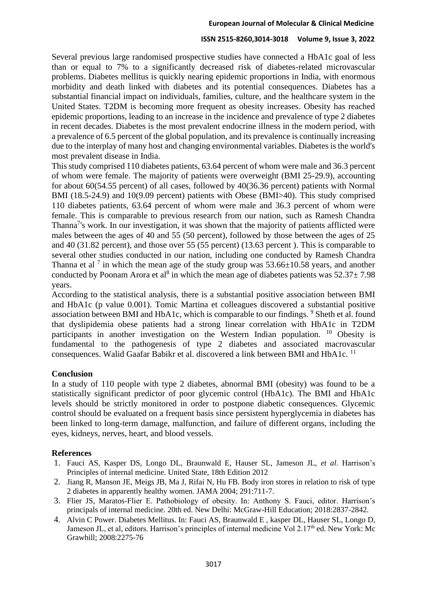Several previous large randomised prospective studies have connected a HbA1c goal of less than or equal to 7% to a significantly decreased risk of diabetes-related microvascular problems. Diabetes mellitus is quickly nearing epidemic proportions in India, with enormous morbidity and death linked with diabetes and its potential consequences. Diabetes has a substantial financial impact on individuals, families, culture, and the healthcare system in the United States. T2DM is becoming more frequent as obesity increases. Obesity has reached epidemic proportions, leading to an increase in the incidence and prevalence of type 2 diabetes in recent decades. Diabetes is the most prevalent endocrine illness in the modern period, with a prevalence of 6.5 percent of the global population, and its prevalence is continually increasing due to the interplay of many host and changing environmental variables. Diabetes is the world's most prevalent disease in India.

This study comprised 110 diabetes patients, 63.64 percent of whom were male and 36.3 percent of whom were female. The majority of patients were overweight (BMI 25-29.9), accounting for about 60(54.55 percent) of all cases, followed by 40(36.36 percent) patients with Normal BMI (18.5-24.9) and 10(9.09 percent) patients with Obese (BMI>40). This study comprised 110 diabetes patients, 63.64 percent of whom were male and 36.3 percent of whom were female. This is comparable to previous research from our nation, such as Ramesh Chandra Thanna<sup>7</sup>'s work. In our investigation, it was shown that the majority of patients afflicted were males between the ages of 40 and 55 (50 percent), followed by those between the ages of 25 and 40 (31.82 percent), and those over 55 (55 percent) (13.63 percent ). This is comparable to several other studies conducted in our nation, including one conducted by Ramesh Chandra Thanna et al<sup>7</sup> in which the mean age of the study group was  $53.66\pm10.58$  years, and another conducted by Poonam Arora et al<sup>8</sup> in which the mean age of diabetes patients was  $52.37 \pm 7.98$ years.

According to the statistical analysis, there is a substantial positive association between BMI and HbA1c (p value 0.001). Tomic Martina et colleagues discovered a substantial positive association between BMI and HbA1c, which is comparable to our findings. <sup>9</sup> Sheth et al. found that dyslipidemia obese patients had a strong linear correlation with HbA1c in T2DM participants in another investigation on the Western Indian population. <sup>10</sup> Obesity is fundamental to the pathogenesis of type 2 diabetes and associated macrovascular consequences. Walid Gaafar Babikr et al. discovered a link between BMI and HbA1c. <sup>11</sup>

## **Conclusion**

In a study of 110 people with type 2 diabetes, abnormal BMI (obesity) was found to be a statistically significant predictor of poor glycemic control (HbA1c). The BMI and HbA1c levels should be strictly monitored in order to postpone diabetic consequences. Glycemic control should be evaluated on a frequent basis since persistent hyperglycemia in diabetes has been linked to long-term damage, malfunction, and failure of different organs, including the eyes, kidneys, nerves, heart, and blood vessels.

## **References**

- 1. Fauci AS, Kasper DS, Longo DL, Braunwald E, Hauser SL, Jameson JL, *et al*. Harrison's Principles of internal medicine. United State, 18th Edition 2012
- 2. Jiang R, Manson JE, Meigs JB, Ma J, Rifai N, Hu FB. Body iron stores in relation to risk of type 2 diabetes in apparently healthy women. JAMA 2004; 291:711-7.
- 3. Flier JS, Maratos-Flier E. Pathobiology of obesity. In: Anthony S. Fauci, editor. Harrison's principals of internal medicine. 20th ed. New Delhi: McGraw-Hill Education; 2018:2837-2842.
- 4. Alvin C Power. Diabetes Mellitus. In: Fauci AS, Braunwald E , kasper DL, Hauser SL, Longo D, Jameson JL, et al, editors. Harrison's principles of internal medicine Vol 2.17<sup>th</sup> ed. New York: Mc Grawhill; 2008:2275-76